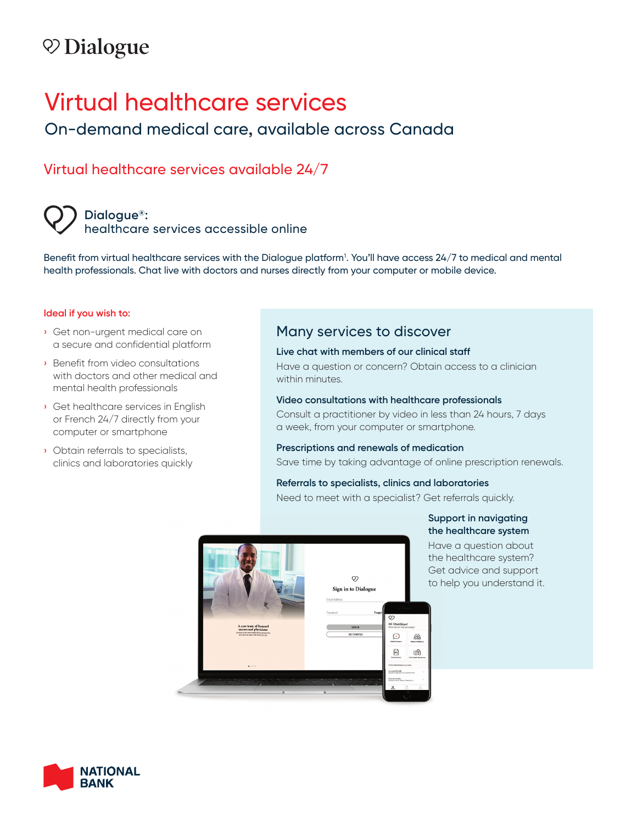# $\heartsuit$  Dialogue

# Virtual healthcare services

## On-demand medical care, available across Canada

## Virtual healthcare services available 24/7

### **Dialogue®:**  healthcare services accessible online

Benefit from virtual healthcare services with the Dialogue platform1 . You'll have access 24/7 to medical and mental health professionals. Chat live with doctors and nurses directly from your computer or mobile device.

#### **Ideal if you wish to:**

- › Get non-urgent medical care on a secure and confidential platform
- › Benefit from video consultations with doctors and other medical and mental health professionals
- › Get healthcare services in English or French 24/7 directly from your computer or smartphone
- › Obtain referrals to specialists, clinics and laboratories quickly

### Many services to discover

#### **Live chat with members of our clinical staff**

Have a question or concern? Obtain access to a clinician within minutes.

#### **Video consultations with healthcare professionals**

Consult a practitioner by video in less than 24 hours, 7 days a week, from your computer or smartphone.

#### **Prescriptions and renewals of medication**

Save time by taking advantage of online prescription renewals.

#### **Referrals to specialists, clinics and laboratories**

Need to meet with a specialist? Get referrals quickly.



#### **Support in navigating the healthcare system**

Have a question about the healthcare system? Get advice and support to help you understand it.